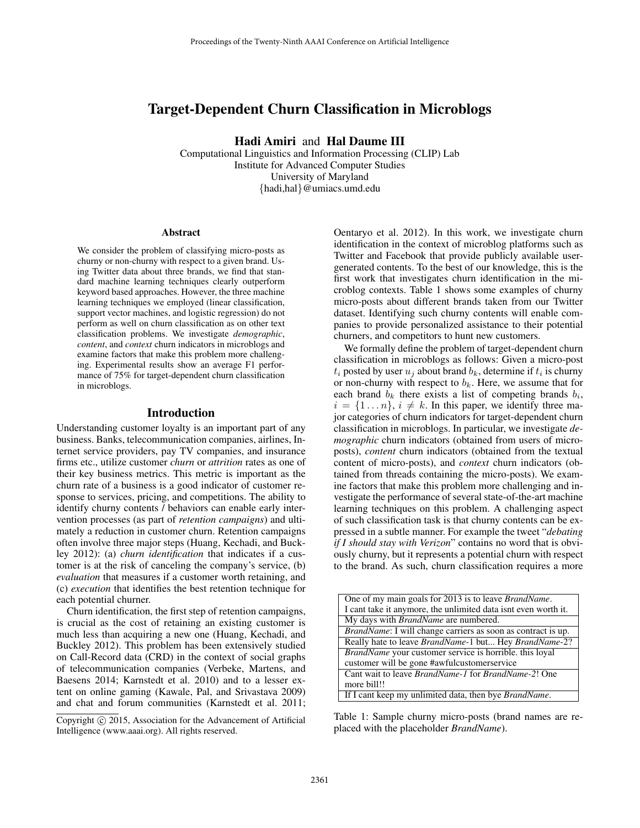# Target-Dependent Churn Classification in Microblogs

Hadi Amiri and Hal Daume III

Computational Linguistics and Information Processing (CLIP) Lab Institute for Advanced Computer Studies University of Maryland {hadi,hal}@umiacs.umd.edu

#### Abstract

We consider the problem of classifying micro-posts as churny or non-churny with respect to a given brand. Using Twitter data about three brands, we find that standard machine learning techniques clearly outperform keyword based approaches. However, the three machine learning techniques we employed (linear classification, support vector machines, and logistic regression) do not perform as well on churn classification as on other text classification problems. We investigate *demographic*, *content*, and *context* churn indicators in microblogs and examine factors that make this problem more challenging. Experimental results show an average F1 performance of 75% for target-dependent churn classification in microblogs.

#### Introduction

Understanding customer loyalty is an important part of any business. Banks, telecommunication companies, airlines, Internet service providers, pay TV companies, and insurance firms etc., utilize customer *churn* or *attrition* rates as one of their key business metrics. This metric is important as the churn rate of a business is a good indicator of customer response to services, pricing, and competitions. The ability to identify churny contents / behaviors can enable early intervention processes (as part of *retention campaigns*) and ultimately a reduction in customer churn. Retention campaigns often involve three major steps (Huang, Kechadi, and Buckley 2012): (a) *churn identification* that indicates if a customer is at the risk of canceling the company's service, (b) *evaluation* that measures if a customer worth retaining, and (c) *execution* that identifies the best retention technique for each potential churner.

Churn identification, the first step of retention campaigns, is crucial as the cost of retaining an existing customer is much less than acquiring a new one (Huang, Kechadi, and Buckley 2012). This problem has been extensively studied on Call-Record data (CRD) in the context of social graphs of telecommunication companies (Verbeke, Martens, and Baesens 2014; Karnstedt et al. 2010) and to a lesser extent on online gaming (Kawale, Pal, and Srivastava 2009) and chat and forum communities (Karnstedt et al. 2011;

Oentaryo et al. 2012). In this work, we investigate churn identification in the context of microblog platforms such as Twitter and Facebook that provide publicly available usergenerated contents. To the best of our knowledge, this is the first work that investigates churn identification in the microblog contexts. Table 1 shows some examples of churny micro-posts about different brands taken from our Twitter dataset. Identifying such churny contents will enable companies to provide personalized assistance to their potential churners, and competitors to hunt new customers.

We formally define the problem of target-dependent churn classification in microblogs as follows: Given a micro-post  $t_i$  posted by user  $u_j$  about brand  $b_k$ , determine if  $t_i$  is churny or non-churny with respect to  $b_k$ . Here, we assume that for each brand  $b_k$  there exists a list of competing brands  $b_i$ ,  $i = \{1 \dots n\}, i \neq k$ . In this paper, we identify three major categories of churn indicators for target-dependent churn classification in microblogs. In particular, we investigate *demographic* churn indicators (obtained from users of microposts), *content* churn indicators (obtained from the textual content of micro-posts), and *context* churn indicators (obtained from threads containing the micro-posts). We examine factors that make this problem more challenging and investigate the performance of several state-of-the-art machine learning techniques on this problem. A challenging aspect of such classification task is that churny contents can be expressed in a subtle manner. For example the tweet "*debating if I should stay with Verizon*" contains no word that is obviously churny, but it represents a potential churn with respect to the brand. As such, churn classification requires a more

| One of my main goals for 2013 is to leave <i>BrandName</i> .         |
|----------------------------------------------------------------------|
| I cant take it anymore, the unlimited data isnt even worth it.       |
| My days with <i>BrandName</i> are numbered.                          |
| <i>BrandName</i> : I will change carriers as soon as contract is up. |
| Really hate to leave <i>BrandName</i> -1 but Hey <i>BrandName-2?</i> |
| BrandName your customer service is horrible. this loyal              |
| customer will be gone #awfulcustomerservice                          |
| Cant wait to leave <i>BrandName-1</i> for <i>BrandName-2</i> ! One   |
| more bill!!                                                          |
| If I cant keep my unlimited data, then bye <i>BrandName</i> .        |

Table 1: Sample churny micro-posts (brand names are replaced with the placeholder *BrandName*).

Copyright (c) 2015, Association for the Advancement of Artificial Intelligence (www.aaai.org). All rights reserved.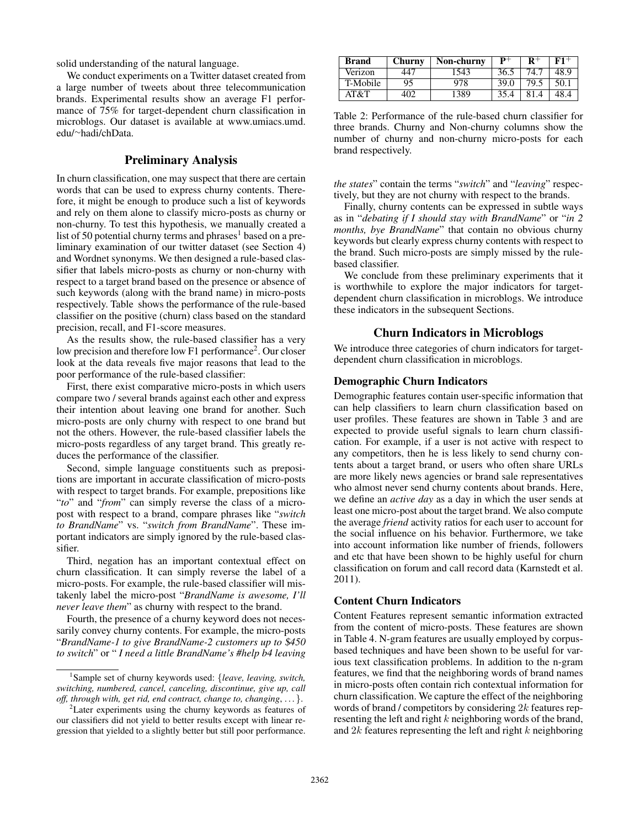solid understanding of the natural language.

We conduct experiments on a Twitter dataset created from a large number of tweets about three telecommunication brands. Experimental results show an average F1 performance of 75% for target-dependent churn classification in microblogs. Our dataset is available at www.umiacs.umd. edu/<sup>∼</sup>hadi/chData.

# Preliminary Analysis

In churn classification, one may suspect that there are certain words that can be used to express churny contents. Therefore, it might be enough to produce such a list of keywords and rely on them alone to classify micro-posts as churny or non-churny. To test this hypothesis, we manually created a list of 50 potential churny terms and phrases<sup>1</sup> based on a preliminary examination of our twitter dataset (see Section 4) and Wordnet synonyms. We then designed a rule-based classifier that labels micro-posts as churny or non-churny with respect to a target brand based on the presence or absence of such keywords (along with the brand name) in micro-posts respectively. Table shows the performance of the rule-based classifier on the positive (churn) class based on the standard precision, recall, and F1-score measures.

As the results show, the rule-based classifier has a very low precision and therefore low F1 performance<sup>2</sup>. Our closer look at the data reveals five major reasons that lead to the poor performance of the rule-based classifier:

First, there exist comparative micro-posts in which users compare two / several brands against each other and express their intention about leaving one brand for another. Such micro-posts are only churny with respect to one brand but not the others. However, the rule-based classifier labels the micro-posts regardless of any target brand. This greatly reduces the performance of the classifier.

Second, simple language constituents such as prepositions are important in accurate classification of micro-posts with respect to target brands. For example, prepositions like "*to*" and "*from*" can simply reverse the class of a micropost with respect to a brand, compare phrases like "*switch to BrandName*" vs. "*switch from BrandName*". These important indicators are simply ignored by the rule-based classifier.

Third, negation has an important contextual effect on churn classification. It can simply reverse the label of a micro-posts. For example, the rule-based classifier will mistakenly label the micro-post "*BrandName is awesome, I'll never leave them*" as churny with respect to the brand.

Fourth, the presence of a churny keyword does not necessarily convey churny contents. For example, the micro-posts "*BrandName-1 to give BrandName-2 customers up to* \$*450 to switch*" or " *I need a little BrandName's #help b4 leaving*

| <b>Brand</b> | Churny | Non-churny | $\mathbf{p}+$ |      | F1+  |
|--------------|--------|------------|---------------|------|------|
| Verizon      | 447    | 1543       | 36.5          | 74.7 | 48.9 |
| T-Mobile     | 95     | 978        | 39.0          | 79.5 | 50.1 |
| AT&T         | 402    | 1389       | 35.4          |      | 48.4 |

Table 2: Performance of the rule-based churn classifier for three brands. Churny and Non-churny columns show the number of churny and non-churny micro-posts for each brand respectively.

*the states*" contain the terms "*switch*" and "*leaving*" respectively, but they are not churny with respect to the brands.

Finally, churny contents can be expressed in subtle ways as in "*debating if I should stay with BrandName*" or "*in 2 months, bye BrandName*" that contain no obvious churny keywords but clearly express churny contents with respect to the brand. Such micro-posts are simply missed by the rulebased classifier.

We conclude from these preliminary experiments that it is worthwhile to explore the major indicators for targetdependent churn classification in microblogs. We introduce these indicators in the subsequent Sections.

## Churn Indicators in Microblogs

We introduce three categories of churn indicators for targetdependent churn classification in microblogs.

#### Demographic Churn Indicators

Demographic features contain user-specific information that can help classifiers to learn churn classification based on user profiles. These features are shown in Table 3 and are expected to provide useful signals to learn churn classification. For example, if a user is not active with respect to any competitors, then he is less likely to send churny contents about a target brand, or users who often share URLs are more likely news agencies or brand sale representatives who almost never send churny contents about brands. Here, we define an *active day* as a day in which the user sends at least one micro-post about the target brand. We also compute the average *friend* activity ratios for each user to account for the social influence on his behavior. Furthermore, we take into account information like number of friends, followers and etc that have been shown to be highly useful for churn classification on forum and call record data (Karnstedt et al. 2011).

#### Content Churn Indicators

Content Features represent semantic information extracted from the content of micro-posts. These features are shown in Table 4. N-gram features are usually employed by corpusbased techniques and have been shown to be useful for various text classification problems. In addition to the n-gram features, we find that the neighboring words of brand names in micro-posts often contain rich contextual information for churn classification. We capture the effect of the neighboring words of brand / competitors by considering 2k features representing the left and right  $k$  neighboring words of the brand, and  $2k$  features representing the left and right  $k$  neighboring

<sup>1</sup> Sample set of churny keywords used: {*leave, leaving, switch, switching, numbered, cancel, canceling, discontinue, give up, call off, through with, get rid, end contract, change to, changing*, . . . }.

<sup>2</sup>Later experiments using the churny keywords as features of our classifiers did not yield to better results except with linear regression that yielded to a slightly better but still poor performance.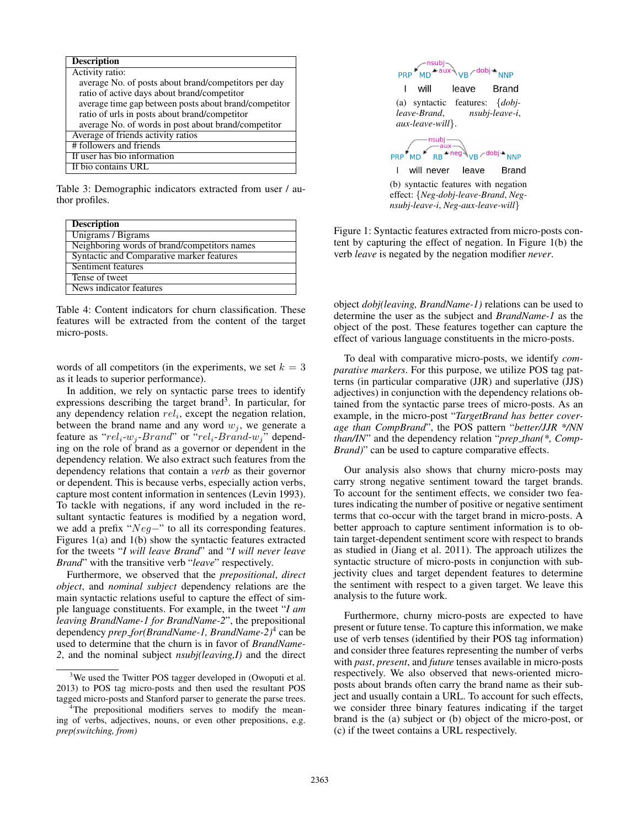| <b>Description</b>                                    |
|-------------------------------------------------------|
| Activity ratio:                                       |
| average No. of posts about brand/competitors per day  |
| ratio of active days about brand/competitor           |
| average time gap between posts about brand/competitor |
| ratio of urls in posts about brand/competitor         |
| average No. of words in post about brand/competitor   |
| Average of friends activity ratios                    |
| # followers and friends                               |
| If user has bio information                           |
| If bio contains URL                                   |

Table 3: Demographic indicators extracted from user / author profiles.

| <b>Description</b>                           |
|----------------------------------------------|
| Unigrams / Bigrams                           |
| Neighboring words of brand/competitors names |
| Syntactic and Comparative marker features    |
| Sentiment features                           |
| Tense of tweet                               |
| News indicator features                      |

Table 4: Content indicators for churn classification. These features will be extracted from the content of the target micro-posts.

words of all competitors (in the experiments, we set  $k = 3$ ) as it leads to superior performance).

In addition, we rely on syntactic parse trees to identify expressions describing the target brand<sup>3</sup>. In particular, for any dependency relation  $rel_i$ , except the negation relation, between the brand name and any word  $w_i$ , we generate a feature as " $rel_i-w_j-Brand$ " or " $rel_i-Brand\cdot w_j$ " depending on the role of brand as a governor or dependent in the dependency relation. We also extract such features from the dependency relations that contain a *verb* as their governor or dependent. This is because verbs, especially action verbs, capture most content information in sentences (Levin 1993). To tackle with negations, if any word included in the resultant syntactic features is modified by a negation word, we add a prefix "Neg−" to all its corresponding features. Figures 1(a) and 1(b) show the syntactic features extracted for the tweets "*I will leave Brand*" and "*I will never leave Brand*" with the transitive verb "*leave*" respectively.

Furthermore, we observed that the *prepositional*, *direct object*, and *nominal subject* dependency relations are the main syntactic relations useful to capture the effect of simple language constituents. For example, in the tweet "*I am leaving BrandName-1 for BrandName-2*", the prepositional dependency *prep for(BrandName-1, BrandName-2)*<sup>4</sup> can be used to determine that the churn is in favor of *BrandName-2*, and the nominal subject *nsubj(leaving,I)* and the direct



effect: {*Neg-dobj-leave-Brand*, *Negnsubj-leave-i*, *Neg-aux-leave-will*}

Figure 1: Syntactic features extracted from micro-posts content by capturing the effect of negation. In Figure 1(b) the verb *leave* is negated by the negation modifier *never*.

object *dobj(leaving, BrandName-1)* relations can be used to determine the user as the subject and *BrandName-1* as the object of the post. These features together can capture the effect of various language constituents in the micro-posts.

To deal with comparative micro-posts, we identify *comparative markers*. For this purpose, we utilize POS tag patterns (in particular comparative (JJR) and superlative (JJS) adjectives) in conjunction with the dependency relations obtained from the syntactic parse trees of micro-posts. As an example, in the micro-post "*TargetBrand has better coverage than CompBrand*", the POS pattern "*better/JJR \*/NN than/IN*" and the dependency relation "*prep than(\*, Comp-Brand*)" can be used to capture comparative effects.

Our analysis also shows that churny micro-posts may carry strong negative sentiment toward the target brands. To account for the sentiment effects, we consider two features indicating the number of positive or negative sentiment terms that co-occur with the target brand in micro-posts. A better approach to capture sentiment information is to obtain target-dependent sentiment score with respect to brands as studied in (Jiang et al. 2011). The approach utilizes the syntactic structure of micro-posts in conjunction with subjectivity clues and target dependent features to determine the sentiment with respect to a given target. We leave this analysis to the future work.

Furthermore, churny micro-posts are expected to have present or future tense. To capture this information, we make use of verb tenses (identified by their POS tag information) and consider three features representing the number of verbs with *past*, *present*, and *future* tenses available in micro-posts respectively. We also observed that news-oriented microposts about brands often carry the brand name as their subject and usually contain a URL. To account for such effects, we consider three binary features indicating if the target brand is the (a) subject or (b) object of the micro-post, or (c) if the tweet contains a URL respectively.

 $3$ We used the Twitter POS tagger developed in (Owoputi et al. 2013) to POS tag micro-posts and then used the resultant POS tagged micro-posts and Stanford parser to generate the parse trees.

<sup>&</sup>lt;sup>4</sup>The prepositional modifiers serves to modify the meaning of verbs, adjectives, nouns, or even other prepositions, e.g. *prep(switching, from)*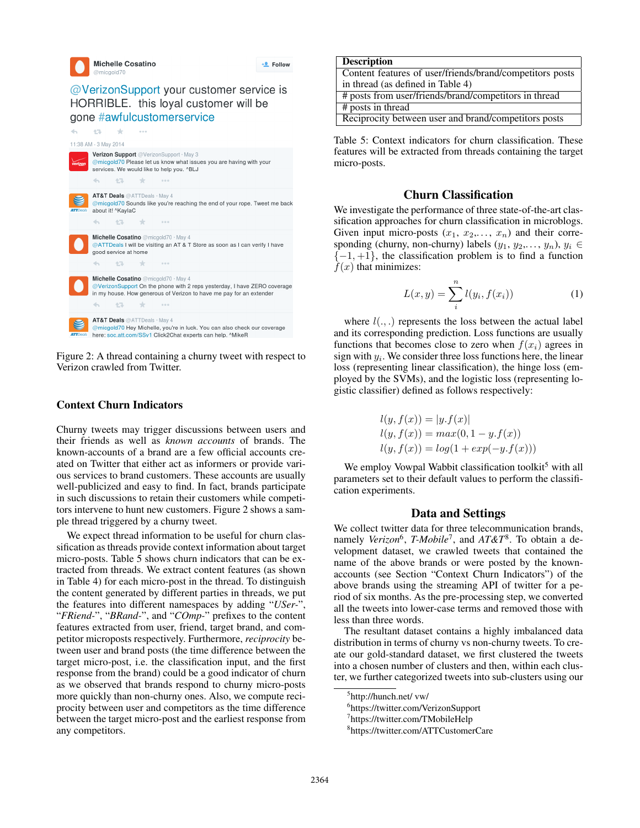+2 Follow

# @VerizonSupport your customer service is HORRIBLE. this loyal customer will be gone #awfulcustomerservice



Figure 2: A thread containing a churny tweet with respect to Verizon crawled from Twitter.

# Context Churn Indicators

Churny tweets may trigger discussions between users and their friends as well as *known accounts* of brands. The known-accounts of a brand are a few official accounts created on Twitter that either act as informers or provide various services to brand customers. These accounts are usually well-publicized and easy to find. In fact, brands participate in such discussions to retain their customers while competitors intervene to hunt new customers. Figure 2 shows a sample thread triggered by a churny tweet.

We expect thread information to be useful for churn classification as threads provide context information about target micro-posts. Table 5 shows churn indicators that can be extracted from threads. We extract content features (as shown in Table 4) for each micro-post in the thread. To distinguish the content generated by different parties in threads, we put the features into different namespaces by adding "*USer-*", "*FRiend-*", "*BRand-*", and "*COmp-*" prefixes to the content features extracted from user, friend, target brand, and competitor microposts respectively. Furthermore, *reciprocity* between user and brand posts (the time difference between the target micro-post, i.e. the classification input, and the first response from the brand) could be a good indicator of churn as we observed that brands respond to churny micro-posts more quickly than non-churny ones. Also, we compute reciprocity between user and competitors as the time difference between the target micro-post and the earliest response from any competitors.

### **Description**

| Content features of user/friends/brand/competitors posts |
|----------------------------------------------------------|
| in thread (as defined in Table 4)                        |
| # posts from user/friends/brand/competitors in thread    |
| # posts in thread                                        |
| Reciprocity between user and brand/competitors posts     |

Table 5: Context indicators for churn classification. These features will be extracted from threads containing the target micro-posts.

# Churn Classification

We investigate the performance of three state-of-the-art classification approaches for churn classification in microblogs. Given input micro-posts  $(x_1, x_2,..., x_n)$  and their corresponding (churny, non-churny) labels  $(y_1, y_2, \ldots, y_n)$ ,  $y_i \in$  $\{-1, +1\}$ , the classification problem is to find a function  $f(x)$  that minimizes:

$$
L(x, y) = \sum_{i}^{n} l(y_i, f(x_i))
$$
 (1)

where  $l(.,.)$  represents the loss between the actual label and its corresponding prediction. Loss functions are usually functions that becomes close to zero when  $f(x_i)$  agrees in sign with  $y_i$ . We consider three loss functions here, the linear loss (representing linear classification), the hinge loss (employed by the SVMs), and the logistic loss (representing logistic classifier) defined as follows respectively:

$$
l(y, f(x)) = |y.f(x)|
$$
  
\n
$$
l(y, f(x)) = max(0, 1 - y.f(x))
$$
  
\n
$$
l(y, f(x)) = log(1 + exp(-y.f(x)))
$$

We employ Vowpal Wabbit classification toolkit<sup>5</sup> with all parameters set to their default values to perform the classification experiments.

#### Data and Settings

We collect twitter data for three telecommunication brands, namely *Verizon*<sup>6</sup>, *T-Mobile*<sup>7</sup>, and *AT&T*<sup>8</sup>. To obtain a development dataset, we crawled tweets that contained the name of the above brands or were posted by the knownaccounts (see Section "Context Churn Indicators") of the above brands using the streaming API of twitter for a period of six months. As the pre-processing step, we converted all the tweets into lower-case terms and removed those with less than three words.

The resultant dataset contains a highly imbalanced data distribution in terms of churny vs non-churny tweets. To create our gold-standard dataset, we first clustered the tweets into a chosen number of clusters and then, within each cluster, we further categorized tweets into sub-clusters using our

<sup>5</sup> http://hunch.net/ vw/

<sup>6</sup> https://twitter.com/VerizonSupport

<sup>7</sup> https://twitter.com/TMobileHelp

<sup>8</sup> https://twitter.com/ATTCustomerCare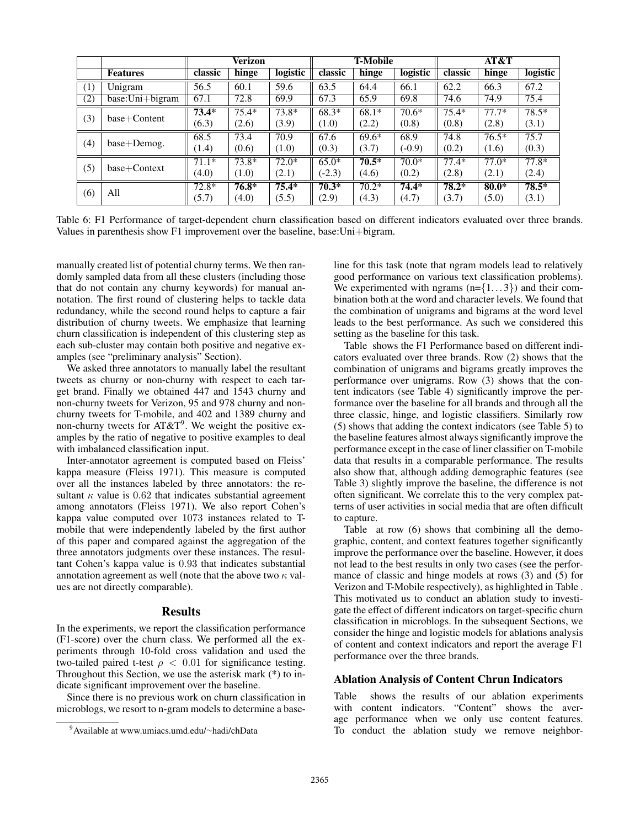|     |                 | Verizon |         | <b>T-Mobile</b> |          |         | AT&T     |         |         |          |
|-----|-----------------|---------|---------|-----------------|----------|---------|----------|---------|---------|----------|
|     | <b>Features</b> | classic | hinge   | logistic        | classic  | hinge   | logistic | classic | hinge   | logistic |
| (1) | Unigram         | 56.5    | 60.1    | 59.6            | 63.5     | 64.4    | 66.1     | 62.2    | 66.3    | 67.2     |
| (2) | base:Uni+bigram | 67.1    | 72.8    | 69.9            | 67.3     | 65.9    | 69.8     | 74.6    | 74.9    | 75.4     |
|     | $base+Content$  | $73.4*$ | $75.4*$ | $73.8*$         | $68.3*$  | $68.1*$ | $70.6*$  | $75.4*$ | $77.7*$ | $78.5*$  |
| (3) |                 | (6.3)   | (2.6)   | (3.9)           | (1.0)    | (2.2)   | (0.8)    | (0.8)   | (2.8)   | (3.1)    |
| (4) | base+Demog.     | 68.5    | 73.4    | 70.9            | 67.6     | $69.6*$ | 68.9     | 74.8    | $76.5*$ | 75.7     |
|     |                 | (1.4)   | (0.6)   | (1.0)           | (0.3)    | (3.7)   | $(-0.9)$ | (0.2)   | (1.6)   | (0.3)    |
| (5) | base+Context    | $71.1*$ | $73.8*$ | $72.0*$         | $65.0*$  | $70.5*$ | $70.0*$  | $77.4*$ | $77.0*$ | $77.8*$  |
|     |                 | (4.0)   | (1.0)   | (2.1)           | $(-2.3)$ | (4.6)   | (0.2)    | (2.8)   | (2.1)   | (2.4)    |
| (6) | All             | $72.8*$ | $76.8*$ | $75.4*$         | $70.3*$  | $70.2*$ | $74.4*$  | $78.2*$ | $80.0*$ | $78.5*$  |
|     |                 | (5.7)   | (4.0)   | (5.5)           | (2.9)    | (4.3)   | (4.7)    | (3.7)   | (5.0)   | (3.1)    |

Table 6: F1 Performance of target-dependent churn classification based on different indicators evaluated over three brands. Values in parenthesis show F1 improvement over the baseline, base:Uni+bigram.

manually created list of potential churny terms. We then randomly sampled data from all these clusters (including those that do not contain any churny keywords) for manual annotation. The first round of clustering helps to tackle data redundancy, while the second round helps to capture a fair distribution of churny tweets. We emphasize that learning churn classification is independent of this clustering step as each sub-cluster may contain both positive and negative examples (see "preliminary analysis" Section).

We asked three annotators to manually label the resultant tweets as churny or non-churny with respect to each target brand. Finally we obtained 447 and 1543 churny and non-churny tweets for Verizon, 95 and 978 churny and nonchurny tweets for T-mobile, and 402 and 1389 churny and non-churny tweets for AT&T<sup>9</sup>. We weight the positive examples by the ratio of negative to positive examples to deal with imbalanced classification input.

Inter-annotator agreement is computed based on Fleiss' kappa measure (Fleiss 1971). This measure is computed over all the instances labeled by three annotators: the resultant  $\kappa$  value is 0.62 that indicates substantial agreement among annotators (Fleiss 1971). We also report Cohen's kappa value computed over 1073 instances related to Tmobile that were independently labeled by the first author of this paper and compared against the aggregation of the three annotators judgments over these instances. The resultant Cohen's kappa value is 0.93 that indicates substantial annotation agreement as well (note that the above two  $\kappa$  values are not directly comparable).

#### Results

In the experiments, we report the classification performance (F1-score) over the churn class. We performed all the experiments through 10-fold cross validation and used the two-tailed paired t-test  $\rho < 0.01$  for significance testing. Throughout this Section, we use the asterisk mark (\*) to indicate significant improvement over the baseline.

Since there is no previous work on churn classification in microblogs, we resort to n-gram models to determine a baseline for this task (note that ngram models lead to relatively good performance on various text classification problems). We experimented with ngrams  $(n=\{1...3\})$  and their combination both at the word and character levels. We found that the combination of unigrams and bigrams at the word level leads to the best performance. As such we considered this setting as the baseline for this task.

Table shows the F1 Performance based on different indicators evaluated over three brands. Row (2) shows that the combination of unigrams and bigrams greatly improves the performance over unigrams. Row (3) shows that the content indicators (see Table 4) significantly improve the performance over the baseline for all brands and through all the three classic, hinge, and logistic classifiers. Similarly row (5) shows that adding the context indicators (see Table 5) to the baseline features almost always significantly improve the performance except in the case of liner classifier on T-mobile data that results in a comparable performance. The results also show that, although adding demographic features (see Table 3) slightly improve the baseline, the difference is not often significant. We correlate this to the very complex patterns of user activities in social media that are often difficult to capture.

Table at row (6) shows that combining all the demographic, content, and context features together significantly improve the performance over the baseline. However, it does not lead to the best results in only two cases (see the performance of classic and hinge models at rows (3) and (5) for Verizon and T-Mobile respectively), as highlighted in Table . This motivated us to conduct an ablation study to investigate the effect of different indicators on target-specific churn classification in microblogs. In the subsequent Sections, we consider the hinge and logistic models for ablations analysis of content and context indicators and report the average F1 performance over the three brands.

#### Ablation Analysis of Content Chrun Indicators

Table shows the results of our ablation experiments with content indicators. "Content" shows the average performance when we only use content features. To conduct the ablation study we remove neighbor-

<sup>9</sup>Available at www.umiacs.umd.edu/∼hadi/chData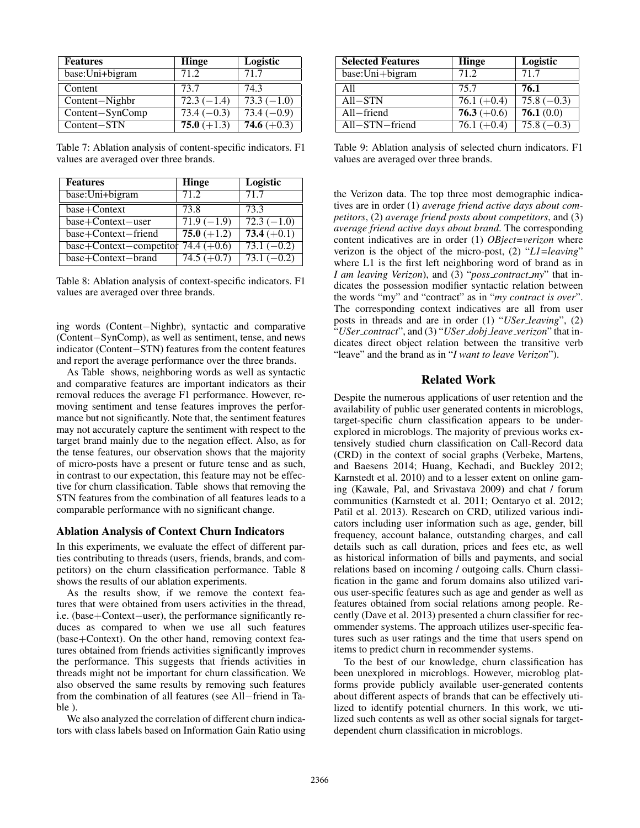| <b>Features</b> | <b>Hinge</b>             | Logistic                |
|-----------------|--------------------------|-------------------------|
| base:Uni+bigram | 71.2                     | 71.7                    |
| Content         | 73.7                     | 74.3                    |
| Content-Nighbr  | $\overline{72.3}(-1.4)$  | $\overline{73.3(-1.0)}$ |
| Content-SynComp | $\overline{73.4 (-0.3)}$ | $73.4(-0.9)$            |
| $Content-STN$   | $75.0 (+1.3)$            | 74.6 $(+0.3)$           |

Table 7: Ablation analysis of content-specific indicators. F1 values are averaged over three brands.

| <b>Features</b>                       | <b>Hinge</b>            | Logistic      |
|---------------------------------------|-------------------------|---------------|
| base:Uni+bigram                       | 71.2                    | 71.7          |
| base+Context                          | 73.8                    | 73.3          |
| $base+Context-user$                   | $\overline{71.9(-1.9)}$ | $72.3(-1.0)$  |
| base+Context-friend                   | $75.0 (+1.2)$           | $73.4 (+0.1)$ |
| base+Context-competitor 74.4 $(+0.6)$ |                         | $73.1(-0.2)$  |
| $base+Context-brand$                  | 74.5 $(+0.7)$           | $73.1(-0.2)$  |

Table 8: Ablation analysis of context-specific indicators. F1 values are averaged over three brands.

ing words (Content−Nighbr), syntactic and comparative (Content−SynComp), as well as sentiment, tense, and news indicator (Content−STN) features from the content features and report the average performance over the three brands.

As Table shows, neighboring words as well as syntactic and comparative features are important indicators as their removal reduces the average F1 performance. However, removing sentiment and tense features improves the performance but not significantly. Note that, the sentiment features may not accurately capture the sentiment with respect to the target brand mainly due to the negation effect. Also, as for the tense features, our observation shows that the majority of micro-posts have a present or future tense and as such, in contrast to our expectation, this feature may not be effective for churn classification. Table shows that removing the STN features from the combination of all features leads to a comparable performance with no significant change.

#### Ablation Analysis of Context Churn Indicators

In this experiments, we evaluate the effect of different parties contributing to threads (users, friends, brands, and competitors) on the churn classification performance. Table 8 shows the results of our ablation experiments.

As the results show, if we remove the context features that were obtained from users activities in the thread, i.e. (base+Context−user), the performance significantly reduces as compared to when we use all such features (base+Context). On the other hand, removing context features obtained from friends activities significantly improves the performance. This suggests that friends activities in threads might not be important for churn classification. We also observed the same results by removing such features from the combination of all features (see All−friend in Table ).

We also analyzed the correlation of different churn indicators with class labels based on Information Gain Ratio using

| <b>Selected Features</b> | Hinge         | Logistic     |
|--------------------------|---------------|--------------|
| $base: Uni + bigram$     | 71.2          | 71.7         |
| A11                      | 75.7          | 76.1         |
| $All - STN$              | 76.1 $(+0.4)$ | $75.8(-0.3)$ |
| $All$ -friend            | $76.3 (+0.6)$ | 76.1(0.0)    |
| $All - STN - friend$     | $76.1 (+0.4)$ | $75.8(-0.3)$ |

Table 9: Ablation analysis of selected churn indicators. F1 values are averaged over three brands.

the Verizon data. The top three most demographic indicatives are in order (1) *average friend active days about competitors*, (2) *average friend posts about competitors*, and (3) *average friend active days about brand*. The corresponding content indicatives are in order (1) *OBject=verizon* where verizon is the object of the micro-post, (2) "*L1=leaving*" where L1 is the first left neighboring word of brand as in *I am leaving Verizon*), and (3) "*poss contract my*" that indicates the possession modifier syntactic relation between the words "my" and "contract" as in "*my contract is over*". The corresponding context indicatives are all from user posts in threads and are in order (1) "*USer leaving*", (2) "*USer contract*", and (3) "*USer dobj leave verizon*" that indicates direct object relation between the transitive verb "leave" and the brand as in "*I want to leave Verizon*").

#### Related Work

Despite the numerous applications of user retention and the availability of public user generated contents in microblogs, target-specific churn classification appears to be underexplored in microblogs. The majority of previous works extensively studied churn classification on Call-Record data (CRD) in the context of social graphs (Verbeke, Martens, and Baesens 2014; Huang, Kechadi, and Buckley 2012; Karnstedt et al. 2010) and to a lesser extent on online gaming (Kawale, Pal, and Srivastava 2009) and chat / forum communities (Karnstedt et al. 2011; Oentaryo et al. 2012; Patil et al. 2013). Research on CRD, utilized various indicators including user information such as age, gender, bill frequency, account balance, outstanding charges, and call details such as call duration, prices and fees etc, as well as historical information of bills and payments, and social relations based on incoming / outgoing calls. Churn classification in the game and forum domains also utilized various user-specific features such as age and gender as well as features obtained from social relations among people. Recently (Dave et al. 2013) presented a churn classifier for recommender systems. The approach utilizes user-specific features such as user ratings and the time that users spend on items to predict churn in recommender systems.

To the best of our knowledge, churn classification has been unexplored in microblogs. However, microblog platforms provide publicly available user-generated contents about different aspects of brands that can be effectively utilized to identify potential churners. In this work, we utilized such contents as well as other social signals for targetdependent churn classification in microblogs.